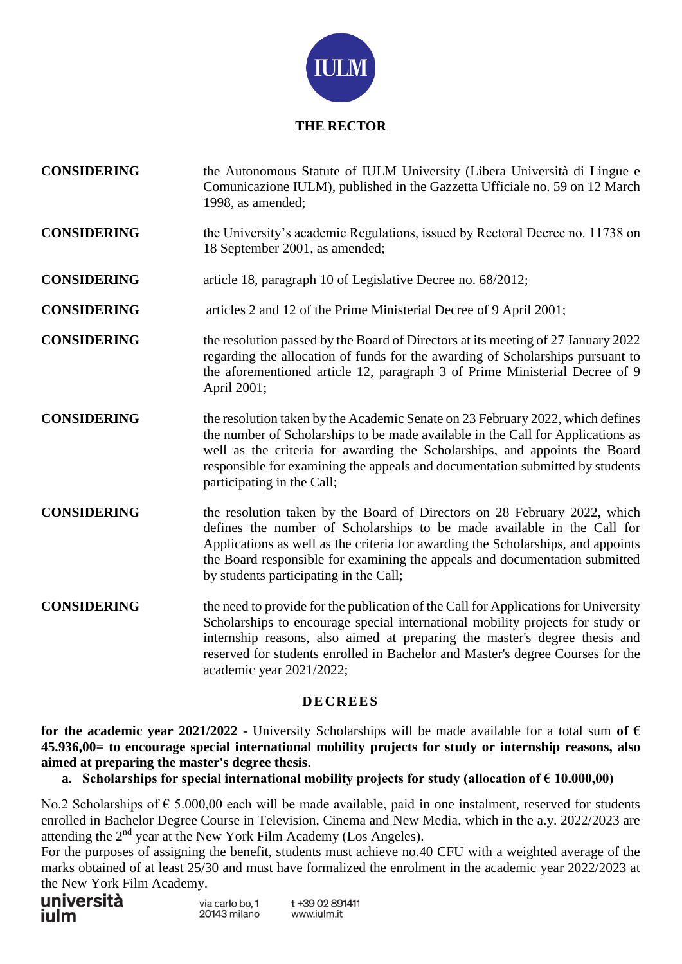

#### **THE RECTOR**

- **CONSIDERING** the Autonomous Statute of IULM University (Libera Università di Lingue e Comunicazione IULM), published in the Gazzetta Ufficiale no. 59 on 12 March 1998, as amended;
- **CONSIDERING** the University's academic Regulations, issued by Rectoral Decree no. 11738 on 18 September 2001, as amended;
- **CONSIDERING** article 18, paragraph 10 of Legislative Decree no. 68/2012;
- **CONSIDERING** articles 2 and 12 of the Prime Ministerial Decree of 9 April 2001;
- **CONSIDERING** the resolution passed by the Board of Directors at its meeting of 27 January 2022 regarding the allocation of funds for the awarding of Scholarships pursuant to the aforementioned article 12, paragraph 3 of Prime Ministerial Decree of 9 April 2001;
- **CONSIDERING** the resolution taken by the Academic Senate on 23 February 2022, which defines the number of Scholarships to be made available in the Call for Applications as well as the criteria for awarding the Scholarships, and appoints the Board responsible for examining the appeals and documentation submitted by students participating in the Call;
- **CONSIDERING** the resolution taken by the Board of Directors on 28 February 2022, which defines the number of Scholarships to be made available in the Call for Applications as well as the criteria for awarding the Scholarships, and appoints the Board responsible for examining the appeals and documentation submitted by students participating in the Call;
- **CONSIDERING** the need to provide for the publication of the Call for Applications for University Scholarships to encourage special international mobility projects for study or internship reasons, also aimed at preparing the master's degree thesis and reserved for students enrolled in Bachelor and Master's degree Courses for the academic year 2021/2022;

#### **D E CR EES**

for the academic year 2021/2022 - University Scholarships will be made available for a total sum of  $\epsilon$ **45.936,00= to encourage special international mobility projects for study or internship reasons, also aimed at preparing the master's degree thesis**.

**a.** Scholarships for special international mobility projects for study (allocation of  $\epsilon$  10.000,00)

No.2 Scholarships of  $\epsilon$  5.000,00 each will be made available, paid in one instalment, reserved for students enrolled in Bachelor Degree Course in Television, Cinema and New Media, which in the a.y. 2022/2023 are attending the 2<sup>nd</sup> year at the New York Film Academy (Los Angeles).

For the purposes of assigning the benefit, students must achieve no.40 CFU with a weighted average of the marks obtained of at least 25/30 and must have formalized the enrolment in the academic year 2022/2023 at the New York Film Academy.

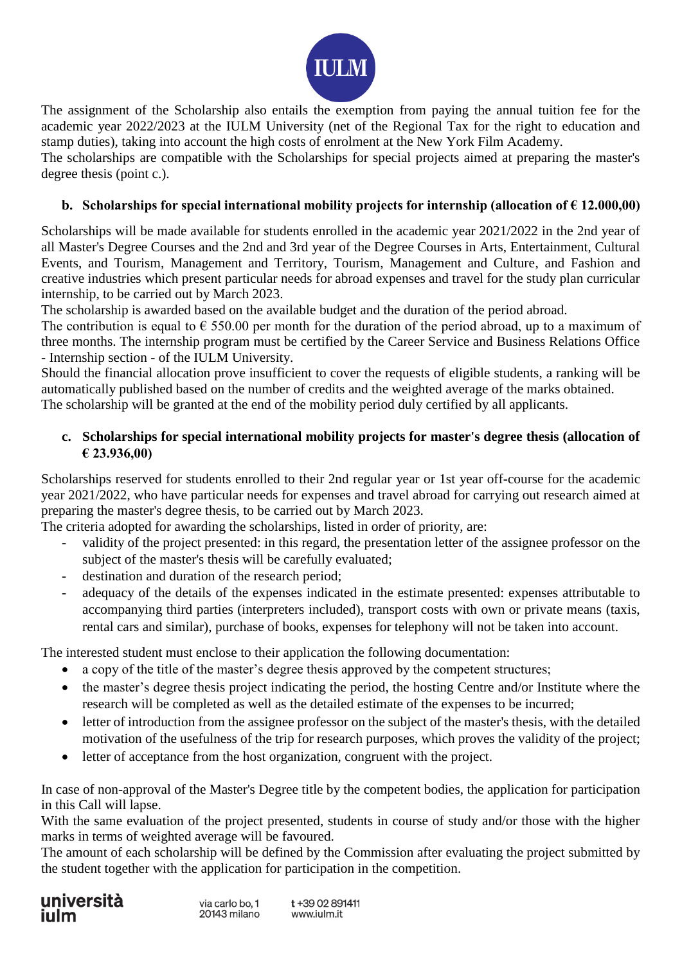

The assignment of the Scholarship also entails the exemption from paying the annual tuition fee for the academic year 2022/2023 at the IULM University (net of the Regional Tax for the right to education and stamp duties), taking into account the high costs of enrolment at the New York Film Academy.

The scholarships are compatible with the Scholarships for special projects aimed at preparing the master's degree thesis (point c.).

### **b.** Scholarships for special international mobility projects for internship (allocation of  $\epsilon$  12.000,00)

Scholarships will be made available for students enrolled in the academic year 2021/2022 in the 2nd year of all Master's Degree Courses and the 2nd and 3rd year of the Degree Courses in Arts, Entertainment, Cultural Events, and Tourism, Management and Territory, Tourism, Management and Culture, and Fashion and creative industries which present particular needs for abroad expenses and travel for the study plan curricular internship, to be carried out by March 2023.

The scholarship is awarded based on the available budget and the duration of the period abroad.

The contribution is equal to  $\epsilon$  550.00 per month for the duration of the period abroad, up to a maximum of three months. The internship program must be certified by the Career Service and Business Relations Office - Internship section - of the IULM University.

Should the financial allocation prove insufficient to cover the requests of eligible students, a ranking will be automatically published based on the number of credits and the weighted average of the marks obtained. The scholarship will be granted at the end of the mobility period duly certified by all applicants.

## **c. Scholarships for special international mobility projects for master's degree thesis (allocation of € 23.936,00)**

Scholarships reserved for students enrolled to their 2nd regular year or 1st year off-course for the academic year 2021/2022, who have particular needs for expenses and travel abroad for carrying out research aimed at preparing the master's degree thesis, to be carried out by March 2023.

The criteria adopted for awarding the scholarships, listed in order of priority, are:

- validity of the project presented: in this regard, the presentation letter of the assignee professor on the subject of the master's thesis will be carefully evaluated;
- destination and duration of the research period;
- adequacy of the details of the expenses indicated in the estimate presented: expenses attributable to accompanying third parties (interpreters included), transport costs with own or private means (taxis, rental cars and similar), purchase of books, expenses for telephony will not be taken into account.

The interested student must enclose to their application the following documentation:

- a copy of the title of the master's degree thesis approved by the competent structures;
- the master's degree thesis project indicating the period, the hosting Centre and/or Institute where the research will be completed as well as the detailed estimate of the expenses to be incurred;
- letter of introduction from the assignee professor on the subject of the master's thesis, with the detailed motivation of the usefulness of the trip for research purposes, which proves the validity of the project;
- letter of acceptance from the host organization, congruent with the project.

In case of non-approval of the Master's Degree title by the competent bodies, the application for participation in this Call will lapse.

With the same evaluation of the project presented, students in course of study and/or those with the higher marks in terms of weighted average will be favoured.

The amount of each scholarship will be defined by the Commission after evaluating the project submitted by the student together with the application for participation in the competition.



t+39 02 891411 www.julm.jt